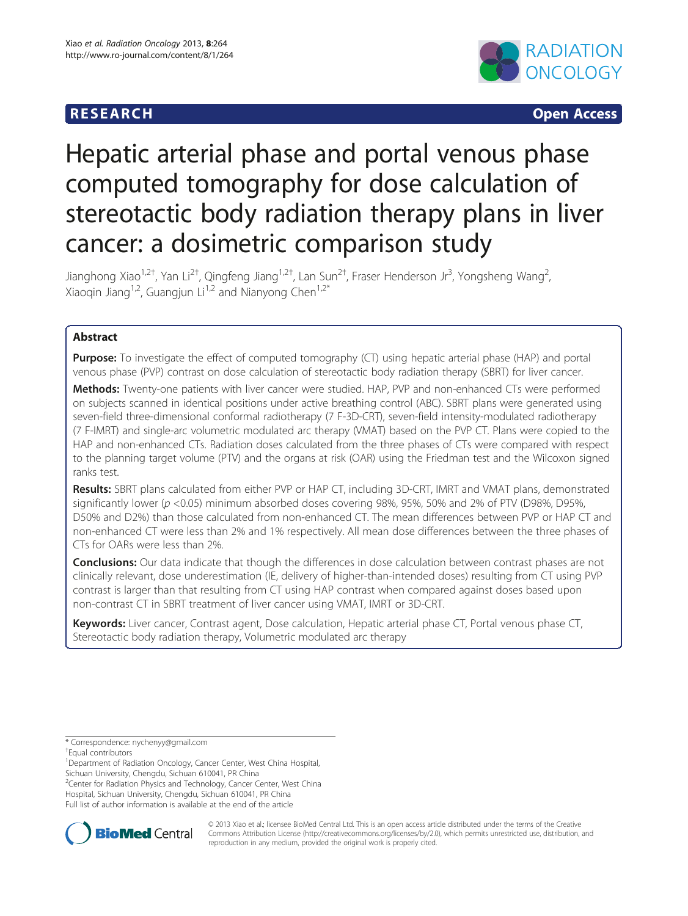# **RESEARCH CHINESE ARCH CHINESE ARCH CHINESE ARCH**



# Hepatic arterial phase and portal venous phase computed tomography for dose calculation of stereotactic body radiation therapy plans in liver cancer: a dosimetric comparison study

Jianghong Xiao<sup>1,2†</sup>, Yan Li<sup>2†</sup>, Qingfeng Jiang<sup>1,2†</sup>, Lan Sun<sup>2†</sup>, Fraser Henderson Jr<sup>3</sup>, Yongsheng Wang<sup>2</sup> , Xiaoqin Jiang<sup>1,2</sup>, Guangjun Li<sup>1,2</sup> and Nianyong Chen<sup>1,2\*</sup>

# Abstract

Purpose: To investigate the effect of computed tomography (CT) using hepatic arterial phase (HAP) and portal venous phase (PVP) contrast on dose calculation of stereotactic body radiation therapy (SBRT) for liver cancer.

Methods: Twenty-one patients with liver cancer were studied. HAP, PVP and non-enhanced CTs were performed on subjects scanned in identical positions under active breathing control (ABC). SBRT plans were generated using seven-field three-dimensional conformal radiotherapy (7 F-3D-CRT), seven-field intensity-modulated radiotherapy (7 F-IMRT) and single-arc volumetric modulated arc therapy (VMAT) based on the PVP CT. Plans were copied to the HAP and non-enhanced CTs. Radiation doses calculated from the three phases of CTs were compared with respect to the planning target volume (PTV) and the organs at risk (OAR) using the Friedman test and the Wilcoxon signed ranks test.

Results: SBRT plans calculated from either PVP or HAP CT, including 3D-CRT, IMRT and VMAT plans, demonstrated significantly lower (p <0.05) minimum absorbed doses covering 98%, 95%, 50% and 2% of PTV (D98%, D95%, D50% and D2%) than those calculated from non-enhanced CT. The mean differences between PVP or HAP CT and non-enhanced CT were less than 2% and 1% respectively. All mean dose differences between the three phases of CTs for OARs were less than 2%.

**Conclusions:** Our data indicate that though the differences in dose calculation between contrast phases are not clinically relevant, dose underestimation (IE, delivery of higher-than-intended doses) resulting from CT using PVP contrast is larger than that resulting from CT using HAP contrast when compared against doses based upon non-contrast CT in SBRT treatment of liver cancer using VMAT, IMRT or 3D-CRT.

Keywords: Liver cancer, Contrast agent, Dose calculation, Hepatic arterial phase CT, Portal venous phase CT, Stereotactic body radiation therapy, Volumetric modulated arc therapy

\* Correspondence: [nychenyy@gmail.com](mailto:nychenyy@gmail.com) †

<sup>2</sup> Center for Radiation Physics and Technology, Cancer Center, West China

Hospital, Sichuan University, Chengdu, Sichuan 610041, PR China Full list of author information is available at the end of the article



© 2013 Xiao et al.; licensee BioMed Central Ltd. This is an open access article distributed under the terms of the Creative Commons Attribution License [\(http://creativecommons.org/licenses/by/2.0\)](http://creativecommons.org/licenses/by/2.0), which permits unrestricted use, distribution, and reproduction in any medium, provided the original work is properly cited.

Equal contributors

<sup>&</sup>lt;sup>1</sup>Department of Radiation Oncology, Cancer Center, West China Hospital, Sichuan University, Chengdu, Sichuan 610041, PR China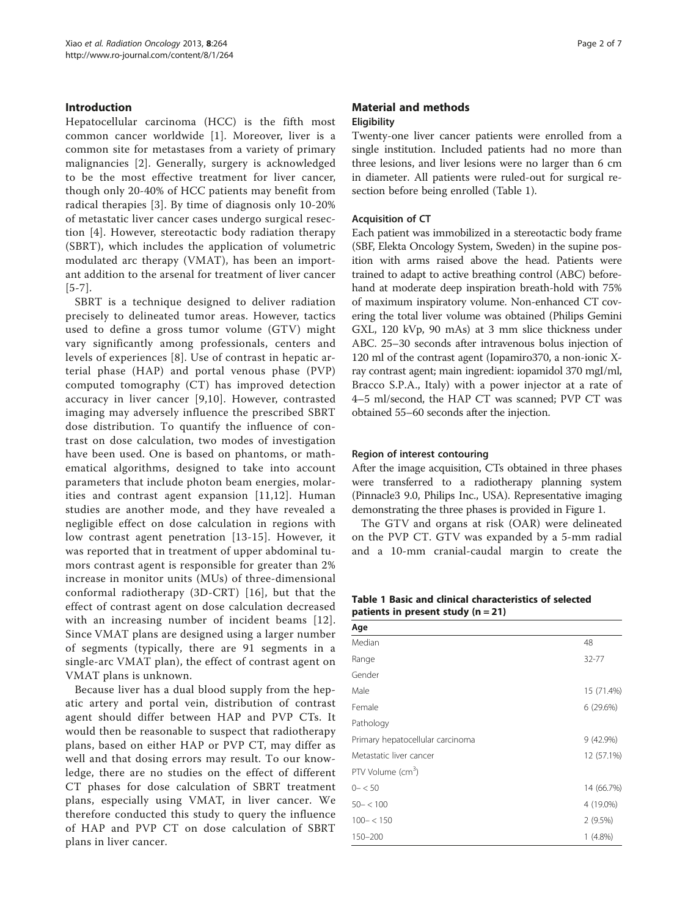# Introduction

Hepatocellular carcinoma (HCC) is the fifth most common cancer worldwide [[1\]](#page-6-0). Moreover, liver is a common site for metastases from a variety of primary malignancies [[2\]](#page-6-0). Generally, surgery is acknowledged to be the most effective treatment for liver cancer, though only 20-40% of HCC patients may benefit from radical therapies [[3\]](#page-6-0). By time of diagnosis only 10-20% of metastatic liver cancer cases undergo surgical resection [[4](#page-6-0)]. However, stereotactic body radiation therapy (SBRT), which includes the application of volumetric modulated arc therapy (VMAT), has been an important addition to the arsenal for treatment of liver cancer [[5](#page-6-0)-[7](#page-6-0)].

SBRT is a technique designed to deliver radiation precisely to delineated tumor areas. However, tactics used to define a gross tumor volume (GTV) might vary significantly among professionals, centers and levels of experiences [[8](#page-6-0)]. Use of contrast in hepatic arterial phase (HAP) and portal venous phase (PVP) computed tomography (CT) has improved detection accuracy in liver cancer [[9](#page-6-0),[10](#page-6-0)]. However, contrasted imaging may adversely influence the prescribed SBRT dose distribution. To quantify the influence of contrast on dose calculation, two modes of investigation have been used. One is based on phantoms, or mathematical algorithms, designed to take into account parameters that include photon beam energies, molarities and contrast agent expansion [[11](#page-6-0),[12](#page-6-0)]. Human studies are another mode, and they have revealed a negligible effect on dose calculation in regions with low contrast agent penetration [[13](#page-6-0)-[15](#page-6-0)]. However, it was reported that in treatment of upper abdominal tumors contrast agent is responsible for greater than 2% increase in monitor units (MUs) of three-dimensional conformal radiotherapy (3D-CRT) [[16\]](#page-6-0), but that the effect of contrast agent on dose calculation decreased with an increasing number of incident beams [[12](#page-6-0)]. Since VMAT plans are designed using a larger number of segments (typically, there are 91 segments in a single-arc VMAT plan), the effect of contrast agent on VMAT plans is unknown.

Because liver has a dual blood supply from the hepatic artery and portal vein, distribution of contrast agent should differ between HAP and PVP CTs. It would then be reasonable to suspect that radiotherapy plans, based on either HAP or PVP CT, may differ as well and that dosing errors may result. To our knowledge, there are no studies on the effect of different CT phases for dose calculation of SBRT treatment plans, especially using VMAT, in liver cancer. We therefore conducted this study to query the influence of HAP and PVP CT on dose calculation of SBRT plans in liver cancer.

# Material and methods **Eligibility**

Twenty-one liver cancer patients were enrolled from a single institution. Included patients had no more than three lesions, and liver lesions were no larger than 6 cm in diameter. All patients were ruled-out for surgical resection before being enrolled (Table 1).

### Acquisition of CT

Each patient was immobilized in a stereotactic body frame (SBF, Elekta Oncology System, Sweden) in the supine position with arms raised above the head. Patients were trained to adapt to active breathing control (ABC) beforehand at moderate deep inspiration breath-hold with 75% of maximum inspiratory volume. Non-enhanced CT covering the total liver volume was obtained (Philips Gemini GXL, 120 kVp, 90 mAs) at 3 mm slice thickness under ABC. 25–30 seconds after intravenous bolus injection of 120 ml of the contrast agent (Iopamiro370, a non-ionic Xray contrast agent; main ingredient: iopamidol 370 mgI/ml, Bracco S.P.A., Italy) with a power injector at a rate of 4–5 ml/second, the HAP CT was scanned; PVP CT was obtained 55–60 seconds after the injection.

#### Region of interest contouring

After the image acquisition, CTs obtained in three phases were transferred to a radiotherapy planning system (Pinnacle3 9.0, Philips Inc., USA). Representative imaging demonstrating the three phases is provided in Figure [1](#page-2-0).

The GTV and organs at risk (OAR) were delineated on the PVP CT. GTV was expanded by a 5-mm radial and a 10-mm cranial-caudal margin to create the

Table 1 Basic and clinical characteristics of selected patients in present study  $(n = 21)$ 

| Age                              |             |
|----------------------------------|-------------|
| Median                           | 48          |
| Range                            | 32-77       |
| Gender                           |             |
| Male                             | 15 (71.4%)  |
| Female                           | 6(29.6%)    |
| Pathology                        |             |
| Primary hepatocellular carcinoma | $9(42.9\%)$ |
| Metastatic liver cancer          | 12 (57.1%)  |
| PTV Volume (cm <sup>3</sup> )    |             |
| $0 - 50$                         | 14 (66.7%)  |
| $50 - < 100$                     | 4 (19.0%)   |
| $100 - < 150$                    | 2(9.5%)     |
| 150-200                          | $1(4.8\%)$  |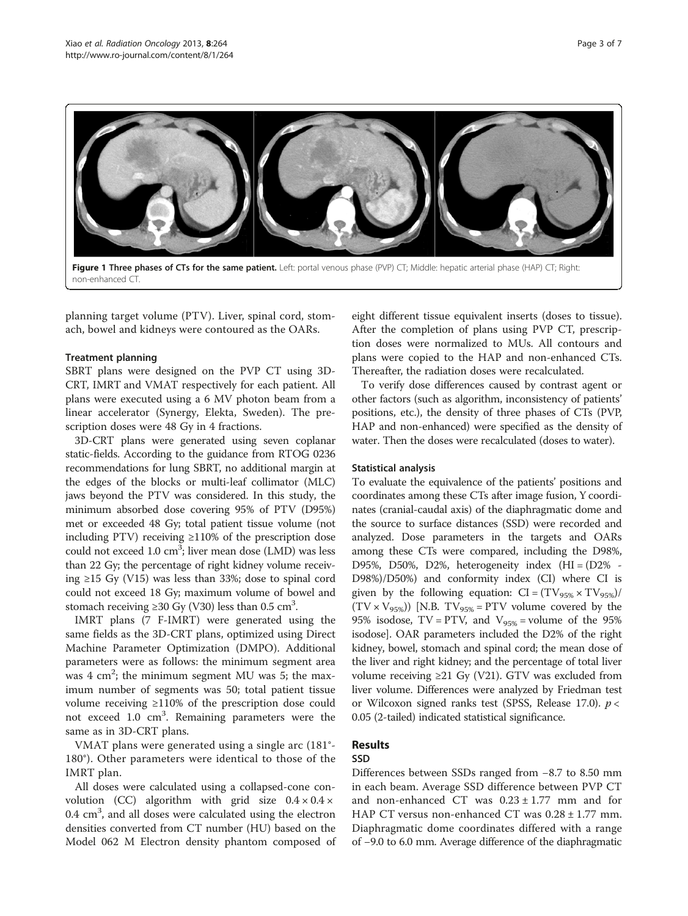<span id="page-2-0"></span>

planning target volume (PTV). Liver, spinal cord, stomach, bowel and kidneys were contoured as the OARs.

#### Treatment planning

SBRT plans were designed on the PVP CT using 3D-CRT, IMRT and VMAT respectively for each patient. All plans were executed using a 6 MV photon beam from a linear accelerator (Synergy, Elekta, Sweden). The prescription doses were 48 Gy in 4 fractions.

3D-CRT plans were generated using seven coplanar static-fields. According to the guidance from RTOG 0236 recommendations for lung SBRT, no additional margin at the edges of the blocks or multi-leaf collimator (MLC) jaws beyond the PTV was considered. In this study, the minimum absorbed dose covering 95% of PTV (D95%) met or exceeded 48 Gy; total patient tissue volume (not including PTV) receiving ≥110% of the prescription dose could not exceed 1.0 cm<sup>3</sup>; liver mean dose (LMD) was less than 22 Gy; the percentage of right kidney volume receiving ≥15 Gy (V15) was less than 33%; dose to spinal cord could not exceed 18 Gy; maximum volume of bowel and stomach receiving ≥30 Gy (V30) less than 0.5 cm<sup>3</sup>.

IMRT plans (7 F-IMRT) were generated using the same fields as the 3D-CRT plans, optimized using Direct Machine Parameter Optimization (DMPO). Additional parameters were as follows: the minimum segment area was  $4 \text{ cm}^2$ ; the minimum segment MU was 5; the maximum number of segments was 50; total patient tissue volume receiving ≥110% of the prescription dose could not exceed 1.0 cm<sup>3</sup>. Remaining parameters were the same as in 3D-CRT plans.

VMAT plans were generated using a single arc (181°- 180°). Other parameters were identical to those of the IMRT plan.

All doses were calculated using a collapsed-cone convolution (CC) algorithm with grid size  $0.4 \times 0.4 \times$ 0.4 cm<sup>3</sup>, and all doses were calculated using the electron densities converted from CT number (HU) based on the Model 062 M Electron density phantom composed of eight different tissue equivalent inserts (doses to tissue). After the completion of plans using PVP CT, prescription doses were normalized to MUs. All contours and plans were copied to the HAP and non-enhanced CTs. Thereafter, the radiation doses were recalculated.

To verify dose differences caused by contrast agent or other factors (such as algorithm, inconsistency of patients' positions, etc.), the density of three phases of CTs (PVP, HAP and non-enhanced) were specified as the density of water. Then the doses were recalculated (doses to water).

#### Statistical analysis

To evaluate the equivalence of the patients' positions and coordinates among these CTs after image fusion, Y coordinates (cranial-caudal axis) of the diaphragmatic dome and the source to surface distances (SSD) were recorded and analyzed. Dose parameters in the targets and OARs among these CTs were compared, including the D98%, D95%, D50%, D2%, heterogeneity index  $(HI = (D2\% -$ D98%)/D50%) and conformity index (CI) where CI is given by the following equation:  $CI = (TV_{95\%} \times TV_{95\%})/$  $(TV \times V_{95\%})$  [N.B. TV<sub>95%</sub> = PTV volume covered by the 95% isodose, TV = PTV, and  $V_{95\%}$  = volume of the 95% isodose]. OAR parameters included the D2% of the right kidney, bowel, stomach and spinal cord; the mean dose of the liver and right kidney; and the percentage of total liver volume receiving ≥21 Gy (V21). GTV was excluded from liver volume. Differences were analyzed by Friedman test or Wilcoxon signed ranks test (SPSS, Release 17.0).  $p <$ 0.05 (2-tailed) indicated statistical significance.

# Results

# SSD

Differences between SSDs ranged from −8.7 to 8.50 mm in each beam. Average SSD difference between PVP CT and non-enhanced CT was  $0.23 \pm 1.77$  mm and for HAP CT versus non-enhanced CT was  $0.28 \pm 1.77$  mm. Diaphragmatic dome coordinates differed with a range of −9.0 to 6.0 mm. Average difference of the diaphragmatic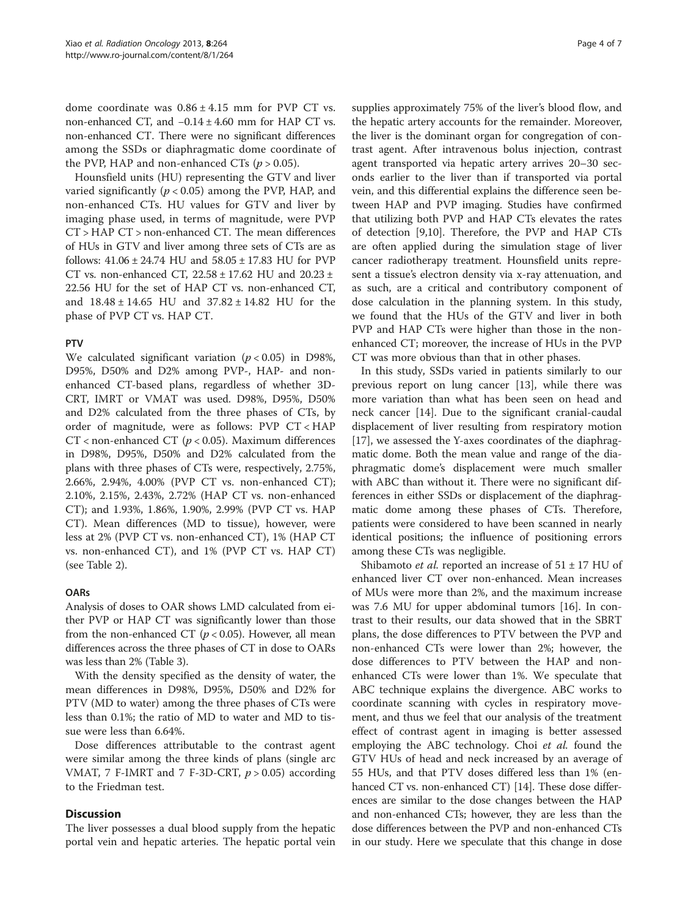dome coordinate was  $0.86 \pm 4.15$  mm for PVP CT vs. non-enhanced CT, and −0.14 ± 4.60 mm for HAP CT vs. non-enhanced CT. There were no significant differences among the SSDs or diaphragmatic dome coordinate of the PVP, HAP and non-enhanced CTs ( $p > 0.05$ ).

Hounsfield units (HU) representing the GTV and liver varied significantly ( $p < 0.05$ ) among the PVP, HAP, and non-enhanced CTs. HU values for GTV and liver by imaging phase used, in terms of magnitude, were PVP CT > HAP CT > non-enhanced CT. The mean differences of HUs in GTV and liver among three sets of CTs are as follows: 41.06 ± 24.74 HU and 58.05 ± 17.83 HU for PVP CT vs. non-enhanced CT, 22.58 ± 17.62 HU and 20.23 ± 22.56 HU for the set of HAP CT vs. non-enhanced CT, and 18.48 ± 14.65 HU and 37.82 ± 14.82 HU for the phase of PVP CT vs. HAP CT.

### PTV

We calculated significant variation ( $p < 0.05$ ) in D98%, D95%, D50% and D2% among PVP-, HAP- and nonenhanced CT-based plans, regardless of whether 3D-CRT, IMRT or VMAT was used. D98%, D95%, D50% and D2% calculated from the three phases of CTs, by order of magnitude, were as follows: PVP CT < HAP CT < non-enhanced CT ( $p$  < 0.05). Maximum differences in D98%, D95%, D50% and D2% calculated from the plans with three phases of CTs were, respectively, 2.75%, 2.66%, 2.94%, 4.00% (PVP CT vs. non-enhanced CT); 2.10%, 2.15%, 2.43%, 2.72% (HAP CT vs. non-enhanced CT); and 1.93%, 1.86%, 1.90%, 2.99% (PVP CT vs. HAP CT). Mean differences (MD to tissue), however, were less at 2% (PVP CT vs. non-enhanced CT), 1% (HAP CT vs. non-enhanced CT), and 1% (PVP CT vs. HAP CT) (see Table [2\)](#page-4-0).

## **OARs**

Analysis of doses to OAR shows LMD calculated from either PVP or HAP CT was significantly lower than those from the non-enhanced CT ( $p < 0.05$ ). However, all mean differences across the three phases of CT in dose to OARs was less than 2% (Table [3\)](#page-5-0).

With the density specified as the density of water, the mean differences in D98%, D95%, D50% and D2% for PTV (MD to water) among the three phases of CTs were less than 0.1%; the ratio of MD to water and MD to tissue were less than 6.64%.

Dose differences attributable to the contrast agent were similar among the three kinds of plans (single arc VMAT, 7 F-IMRT and 7 F-3D-CRT,  $p > 0.05$ ) according to the Friedman test.

### **Discussion**

The liver possesses a dual blood supply from the hepatic portal vein and hepatic arteries. The hepatic portal vein supplies approximately 75% of the liver's blood flow, and the hepatic artery accounts for the remainder. Moreover, the liver is the dominant organ for congregation of contrast agent. After intravenous bolus injection, contrast agent transported via hepatic artery arrives 20–30 seconds earlier to the liver than if transported via portal vein, and this differential explains the difference seen between HAP and PVP imaging. Studies have confirmed that utilizing both PVP and HAP CTs elevates the rates of detection [\[9,10](#page-6-0)]. Therefore, the PVP and HAP CTs are often applied during the simulation stage of liver cancer radiotherapy treatment. Hounsfield units represent a tissue's electron density via x-ray attenuation, and as such, are a critical and contributory component of dose calculation in the planning system. In this study, we found that the HUs of the GTV and liver in both PVP and HAP CTs were higher than those in the nonenhanced CT; moreover, the increase of HUs in the PVP CT was more obvious than that in other phases.

In this study, SSDs varied in patients similarly to our previous report on lung cancer [[13](#page-6-0)], while there was more variation than what has been seen on head and neck cancer [\[14\]](#page-6-0). Due to the significant cranial-caudal displacement of liver resulting from respiratory motion [[17\]](#page-6-0), we assessed the Y-axes coordinates of the diaphragmatic dome. Both the mean value and range of the diaphragmatic dome's displacement were much smaller with ABC than without it. There were no significant differences in either SSDs or displacement of the diaphragmatic dome among these phases of CTs. Therefore, patients were considered to have been scanned in nearly identical positions; the influence of positioning errors among these CTs was negligible.

Shibamoto *et al.* reported an increase of  $51 \pm 17$  HU of enhanced liver CT over non-enhanced. Mean increases of MUs were more than 2%, and the maximum increase was 7.6 MU for upper abdominal tumors [[16\]](#page-6-0). In contrast to their results, our data showed that in the SBRT plans, the dose differences to PTV between the PVP and non-enhanced CTs were lower than 2%; however, the dose differences to PTV between the HAP and nonenhanced CTs were lower than 1%. We speculate that ABC technique explains the divergence. ABC works to coordinate scanning with cycles in respiratory movement, and thus we feel that our analysis of the treatment effect of contrast agent in imaging is better assessed employing the ABC technology. Choi et al. found the GTV HUs of head and neck increased by an average of 55 HUs, and that PTV doses differed less than 1% (en-hanced CT vs. non-enhanced CT) [\[14\]](#page-6-0). These dose differences are similar to the dose changes between the HAP and non-enhanced CTs; however, they are less than the dose differences between the PVP and non-enhanced CTs in our study. Here we speculate that this change in dose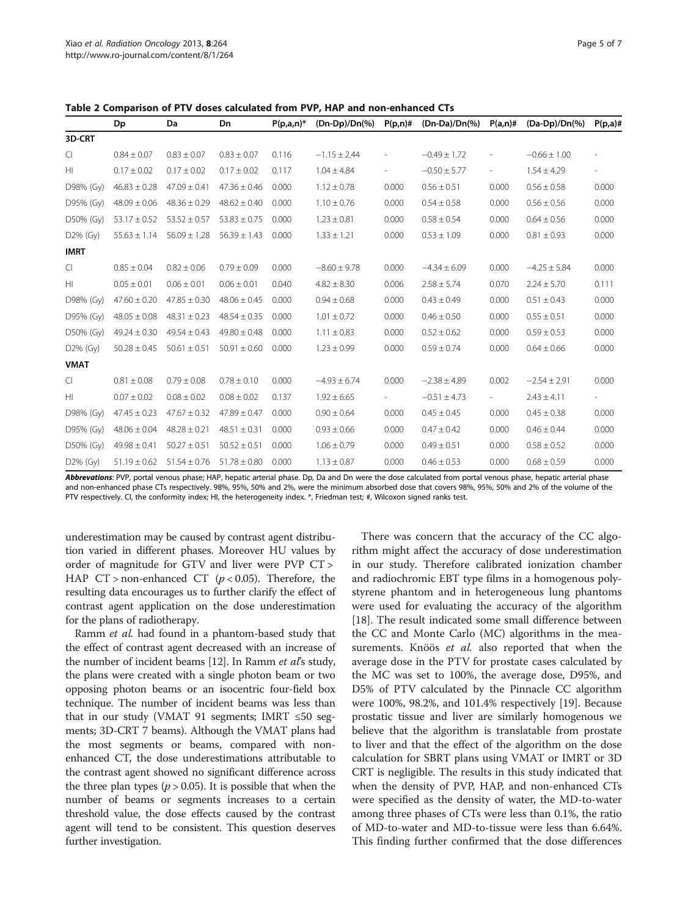<span id="page-4-0"></span>Table 2 Comparison of PTV doses calculated from PVP, HAP and non-enhanced CTs

|                | Dp               | Da               | Dn               | $P(p,a,n)^*$ | (Dn-Dp)/Dn(%)    | $P(p,n)$ # | $(Dn-Da)/Dn(\%)$ | $P(a,n)$ #               | (Da-Dp)/Dn(%)    | $P(p,a)$ #               |
|----------------|------------------|------------------|------------------|--------------|------------------|------------|------------------|--------------------------|------------------|--------------------------|
| 3D-CRT         |                  |                  |                  |              |                  |            |                  |                          |                  |                          |
| $\overline{C}$ | $0.84 \pm 0.07$  | $0.83 \pm 0.07$  | $0.83 \pm 0.07$  | 0.116        | $-1.15 \pm 2.44$ |            | $-0.49 \pm 1.72$ | $\overline{\phantom{a}}$ | $-0.66 \pm 1.00$ |                          |
| HI             | $0.17 \pm 0.02$  | $0.17 \pm 0.02$  | $0.17 \pm 0.02$  | 0.117        | $1.04 \pm 4.84$  |            | $-0.50 \pm 5.77$ | $\overline{\phantom{m}}$ | $1.54 \pm 4.29$  | $\overline{\phantom{a}}$ |
| D98% (Gy)      | $46.83 \pm 0.28$ | $47.09 \pm 0.41$ | $47.36 \pm 0.46$ | 0.000        | $1.12 \pm 0.78$  | 0.000      | $0.56 \pm 0.51$  | 0.000                    | $0.56 \pm 0.58$  | 0.000                    |
| D95% (Gy)      | $48.09 \pm 0.06$ | $48.36 \pm 0.29$ | $48.62 \pm 0.40$ | 0.000        | $1.10 \pm 0.76$  | 0.000      | $0.54 \pm 0.58$  | 0.000                    | $0.56 \pm 0.56$  | 0.000                    |
| D50% (Gy)      | $53.17 \pm 0.52$ | $53.52 \pm 0.57$ | $53.83 \pm 0.75$ | 0.000        | $1.23 \pm 0.81$  | 0.000      | $0.58 \pm 0.54$  | 0.000                    | $0.64 \pm 0.56$  | 0.000                    |
| $D2\%$ (Gy)    | $55.63 \pm 1.14$ | $56.09 \pm 1.28$ | $56.39 \pm 1.43$ | 0.000        | $1.33 \pm 1.21$  | 0.000      | $0.53 \pm 1.09$  | 0.000                    | $0.81 \pm 0.93$  | 0.000                    |
| <b>IMRT</b>    |                  |                  |                  |              |                  |            |                  |                          |                  |                          |
| CI             | $0.85 \pm 0.04$  | $0.82 \pm 0.06$  | $0.79 \pm 0.09$  | 0.000        | $-8.60 \pm 9.78$ | 0.000      | $-4.34 \pm 6.09$ | 0.000                    | $-4.25 \pm 5.84$ | 0.000                    |
| HI             | $0.05 \pm 0.01$  | $0.06 \pm 0.01$  | $0.06 \pm 0.01$  | 0.040        | $4.82 \pm 8.30$  | 0.006      | $2.58 \pm 5.74$  | 0.070                    | $2.24 \pm 5.70$  | 0.111                    |
| D98% (Gy)      | $47.60 \pm 0.20$ | $47.85 \pm 0.30$ | $48.06 \pm 0.45$ | 0.000        | $0.94 \pm 0.68$  | 0.000      | $0.43 \pm 0.49$  | 0.000                    | $0.51 \pm 0.43$  | 0.000                    |
| D95% (Gy)      | $48.05 \pm 0.08$ | $48.31 \pm 0.23$ | $48.54 \pm 0.35$ | 0.000        | $1.01 \pm 0.72$  | 0.000      | $0.46 \pm 0.50$  | 0.000                    | $0.55 \pm 0.51$  | 0.000                    |
| D50% (Gy)      | $49.24 \pm 0.30$ | $49.54 \pm 0.43$ | $49.80 \pm 0.48$ | 0.000        | $1.11 \pm 0.83$  | 0.000      | $0.52 \pm 0.62$  | 0.000                    | $0.59 \pm 0.53$  | 0.000                    |
| D2% (Gy)       | $50.28 \pm 0.45$ | $50.61 \pm 0.51$ | $50.91 \pm 0.60$ | 0.000        | $1.23 \pm 0.99$  | 0.000      | $0.59 \pm 0.74$  | 0.000                    | $0.64 \pm 0.66$  | 0.000                    |
| <b>VMAT</b>    |                  |                  |                  |              |                  |            |                  |                          |                  |                          |
| $\subset$      | $0.81 \pm 0.08$  | $0.79 \pm 0.08$  | $0.78 \pm 0.10$  | 0.000        | $-4.93 \pm 6.74$ | 0.000      | $-2.38 \pm 4.89$ | 0.002                    | $-2.54 \pm 2.91$ | 0.000                    |
| HI             | $0.07 \pm 0.02$  | $0.08 \pm 0.02$  | $0.08 \pm 0.02$  | 0.137        | $1.92 \pm 6.65$  | $\sim$     | $-0.51 \pm 4.73$ | $\sim$                   | $2.43 \pm 4.11$  | $\overline{\phantom{a}}$ |
| D98% (Gy)      | $47.45 \pm 0.23$ | $47.67 \pm 0.32$ | $47.89 \pm 0.47$ | 0.000        | $0.90 \pm 0.64$  | 0.000      | $0.45 \pm 0.45$  | 0.000                    | $0.45 \pm 0.38$  | 0.000                    |
| D95% (Gy)      | $48.06 \pm 0.04$ | $48.28 \pm 0.21$ | $48.51 \pm 0.31$ | 0.000        | $0.93 \pm 0.66$  | 0.000      | $0.47 \pm 0.42$  | 0.000                    | $0.46 \pm 0.44$  | 0.000                    |
| D50% (Gy)      | $49.98 \pm 0.41$ | $50.27 \pm 0.51$ | $50.52 \pm 0.51$ | 0.000        | $1.06 \pm 0.79$  | 0.000      | $0.49 \pm 0.51$  | 0.000                    | $0.58 \pm 0.52$  | 0.000                    |
| $D2\%$ (Gy)    | $51.19 \pm 0.62$ | $51.54 \pm 0.76$ | $51.78 \pm 0.80$ | 0.000        | $1.13 \pm 0.87$  | 0.000      | $0.46 \pm 0.53$  | 0.000                    | $0.68 \pm 0.59$  | 0.000                    |

Abbrevations: PVP, portal venous phase; HAP, hepatic arterial phase. Dp, Da and Dn were the dose calculated from portal venous phase, hepatic arterial phase and non-enhanced phase CTs respectively. 98%, 95%, 50% and 2%, were the minimum absorbed dose that covers 98%, 95%, 50% and 2% of the volume of the PTV respectively. CI, the conformity index; HI, the heterogeneity index. \*, Friedman test; #, Wilcoxon signed ranks test.

underestimation may be caused by contrast agent distribution varied in different phases. Moreover HU values by order of magnitude for GTV and liver were PVP CT > HAP  $CT >$  non-enhanced  $CT$  ( $p < 0.05$ ). Therefore, the resulting data encourages us to further clarify the effect of contrast agent application on the dose underestimation for the plans of radiotherapy.

Ramm et al. had found in a phantom-based study that the effect of contrast agent decreased with an increase of the number of incident beams [\[12\]](#page-6-0). In Ramm et al's study, the plans were created with a single photon beam or two opposing photon beams or an isocentric four-field box technique. The number of incident beams was less than that in our study (VMAT 91 segments; IMRT  $\leq 50$  segments; 3D-CRT 7 beams). Although the VMAT plans had the most segments or beams, compared with nonenhanced CT, the dose underestimations attributable to the contrast agent showed no significant difference across the three plan types ( $p > 0.05$ ). It is possible that when the number of beams or segments increases to a certain threshold value, the dose effects caused by the contrast agent will tend to be consistent. This question deserves further investigation.

There was concern that the accuracy of the CC algorithm might affect the accuracy of dose underestimation in our study. Therefore calibrated ionization chamber and radiochromic EBT type films in a homogenous polystyrene phantom and in heterogeneous lung phantoms were used for evaluating the accuracy of the algorithm [[18\]](#page-6-0). The result indicated some small difference between the CC and Monte Carlo (MC) algorithms in the measurements. Knöös et al. also reported that when the average dose in the PTV for prostate cases calculated by the MC was set to 100%, the average dose, D95%, and D5% of PTV calculated by the Pinnacle CC algorithm were 100%, 98.2%, and 101.4% respectively [[19](#page-6-0)]. Because prostatic tissue and liver are similarly homogenous we believe that the algorithm is translatable from prostate to liver and that the effect of the algorithm on the dose calculation for SBRT plans using VMAT or IMRT or 3D CRT is negligible. The results in this study indicated that when the density of PVP, HAP, and non-enhanced CTs were specified as the density of water, the MD-to-water among three phases of CTs were less than 0.1%, the ratio of MD-to-water and MD-to-tissue were less than 6.64%. This finding further confirmed that the dose differences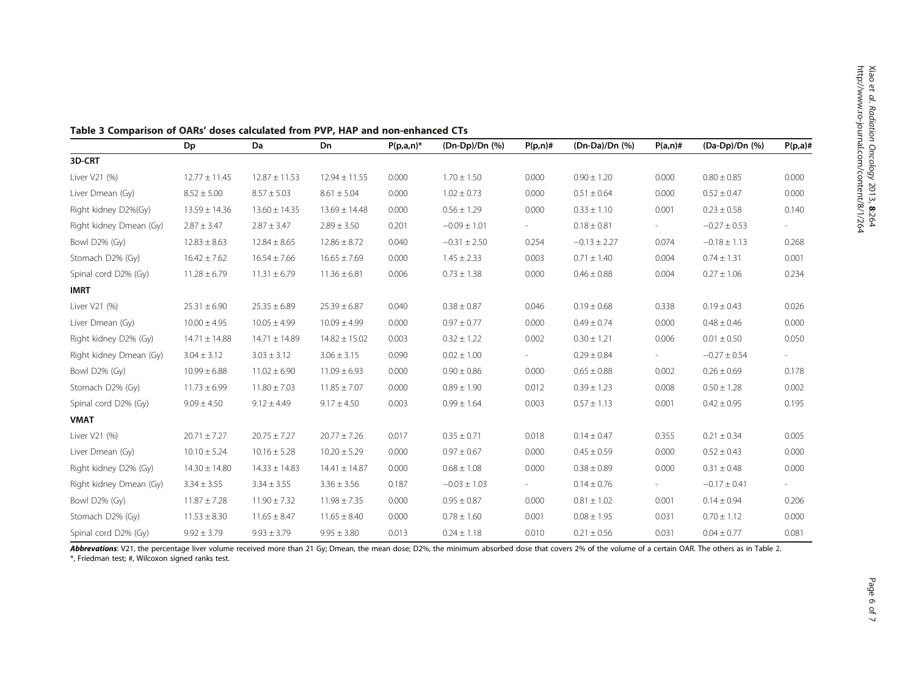|                         | Dp                | Da                | Dn                | $P(p,a,n)^*$ | (Dn-Dp)/Dn (%)   | $P(p,n)$ # | (Dn-Da)/Dn (%)   | $P(a,n)$ #               | (Da-Dp)/Dn (%)   | $P(p,a)$ # |
|-------------------------|-------------------|-------------------|-------------------|--------------|------------------|------------|------------------|--------------------------|------------------|------------|
| 3D-CRT                  |                   |                   |                   |              |                  |            |                  |                          |                  |            |
| Liver V21 (%)           | $12.77 \pm 11.45$ | $12.87 \pm 11.53$ | $12.94 \pm 11.55$ | 0.000        | $1.70 \pm 1.50$  | 0.000      | $0.90 \pm 1.20$  | 0.000                    | $0.80 \pm 0.85$  | 0.000      |
| Liver Dmean (Gy)        | $8.52 \pm 5.00$   | $8.57 \pm 5.03$   | $8.61 \pm 5.04$   | 0.000        | $1.02 \pm 0.73$  | 0.000      | $0.51 \pm 0.64$  | 0.000                    | $0.52 \pm 0.47$  | 0.000      |
| Right kidney D2%(Gy)    | $13.59 \pm 14.36$ | $13.60 \pm 14.35$ | $13.69 \pm 14.48$ | 0.000        | $0.56 \pm 1.29$  | 0.000      | $0.33 \pm 1.10$  | 0.001                    | $0.23 \pm 0.58$  | 0.140      |
| Right kidney Dmean (Gy) | $2.87 \pm 3.47$   | $2.87 \pm 3.47$   | $2.89 \pm 3.50$   | 0.201        | $-0.09 \pm 1.01$ | $\sim$     | $0.18 \pm 0.81$  | $\sim$                   | $-0.27 \pm 0.53$ | $\sim$     |
| Bowl D2% (Gy)           | $12.83 \pm 8.63$  | $12.84 \pm 8.65$  | $12.86 \pm 8.72$  | 0.040        | $-0.31 \pm 2.50$ | 0.254      | $-0.13 \pm 2.27$ | 0.074                    | $-0.18 \pm 1.13$ | 0.268      |
| Stomach D2% (Gy)        | $16.42 \pm 7.62$  | $16.54 \pm 7.66$  | $16.65 \pm 7.69$  | 0.000        | $1.45 \pm 2.33$  | 0.003      | $0.71 \pm 1.40$  | 0.004                    | $0.74 \pm 1.31$  | 0.001      |
| Spinal cord D2% (Gy)    | $11.28 \pm 6.79$  | $11.31 \pm 6.79$  | $11.36 \pm 6.81$  | 0.006        | $0.73 \pm 1.38$  | 0.000      | $0.46 \pm 0.88$  | 0.004                    | $0.27 \pm 1.06$  | 0.234      |
| <b>IMRT</b>             |                   |                   |                   |              |                  |            |                  |                          |                  |            |
| Liver V21 (%)           | $25.31 \pm 6.90$  | $25.35 \pm 6.89$  | $25.39 \pm 6.87$  | 0.040        | $0.38 \pm 0.87$  | 0.046      | $0.19 \pm 0.68$  | 0.338                    | $0.19 \pm 0.43$  | 0.026      |
| Liver Dmean (Gy)        | $10.00 \pm 4.95$  | $10.05 \pm 4.99$  | $10.09 \pm 4.99$  | 0.000        | $0.97 \pm 0.77$  | 0.000      | $0.49 \pm 0.74$  | 0.000                    | $0.48 \pm 0.46$  | 0.000      |
| Right kidney D2% (Gy)   | $14.71 \pm 14.88$ | $14.71 \pm 14.89$ | $14.82 \pm 15.02$ | 0.003        | $0.32 \pm 1.22$  | 0.002      | $0.30 \pm 1.21$  | 0.006                    | $0.01 \pm 0.50$  | 0.050      |
| Right kidney Dmean (Gy) | $3.04 \pm 3.12$   | $3.03 \pm 3.12$   | $3.06 \pm 3.15$   | 0.090        | $0.02 \pm 1.00$  |            | $0.29 \pm 0.84$  | $\overline{\phantom{a}}$ | $-0.27 \pm 0.54$ |            |
| Bowl D2% (Gy)           | $10.99 \pm 6.88$  | $11.02 \pm 6.90$  | $11.09 \pm 6.93$  | 0.000        | $0.90 \pm 0.86$  | 0.000      | $0.65 \pm 0.88$  | 0.002                    | $0.26 \pm 0.69$  | 0.178      |
| Stomach D2% (Gy)        | $11.73 \pm 6.99$  | $11.80 \pm 7.03$  | $11.85 \pm 7.07$  | 0.000        | $0.89 \pm 1.90$  | 0.012      | $0.39 \pm 1.23$  | 0.008                    | $0.50 \pm 1.28$  | 0.002      |
| Spinal cord D2% (Gy)    | $9.09 \pm 4.50$   | $9.12 \pm 4.49$   | $9.17 \pm 4.50$   | 0.003        | $0.99 \pm 1.64$  | 0.003      | $0.57 \pm 1.13$  | 0.001                    | $0.42 \pm 0.95$  | 0.195      |
| <b>VMAT</b>             |                   |                   |                   |              |                  |            |                  |                          |                  |            |
| Liver V21 (%)           | $20.71 \pm 7.27$  | $20.75 \pm 7.27$  | $20.77 \pm 7.26$  | 0.017        | $0.35 \pm 0.71$  | 0.018      | $0.14 \pm 0.47$  | 0.355                    | $0.21 \pm 0.34$  | 0.005      |
| Liver Dmean (Gy)        | $10.10 \pm 5.24$  | $10.16 \pm 5.28$  | $10.20 \pm 5.29$  | 0.000        | $0.97 \pm 0.67$  | 0.000      | $0.45 \pm 0.59$  | 0.000                    | $0.52 \pm 0.43$  | 0.000      |
| Right kidney D2% (Gy)   | $14.30 \pm 14.80$ | $14.33 \pm 14.83$ | $14.41 \pm 14.87$ | 0.000        | $0.68 \pm 1.08$  | 0.000      | $0.38 \pm 0.89$  | 0.000                    | $0.31 \pm 0.48$  | 0.000      |
| Right kidney Dmean (Gy) | $3.34 \pm 3.55$   | $3.34 \pm 3.55$   | $3.36 \pm 3.56$   | 0.187        | $-0.03 \pm 1.03$ | $\sim$     | $0.14 \pm 0.76$  | $\sim$                   | $-0.17 \pm 0.41$ |            |
| Bowl D2% (Gy)           | $11.87 \pm 7.28$  | $11.90 \pm 7.32$  | $11.98 \pm 7.35$  | 0.000        | $0.95 \pm 0.87$  | 0.000      | $0.81 \pm 1.02$  | 0.001                    | $0.14 \pm 0.94$  | 0.206      |
| Stomach D2% (Gy)        | $11.53 \pm 8.30$  | $11.65 \pm 8.47$  | $11.65 \pm 8.40$  | 0.000        | $0.78 \pm 1.60$  | 0.001      | $0.08 \pm 1.95$  | 0.031                    | $0.70 \pm 1.12$  | 0.000      |
| Spinal cord D2% (Gy)    | $9.92 \pm 3.79$   | $9.93 \pm 3.79$   | $9.95 \pm 3.80$   | 0.013        | $0.24 \pm 1.18$  | 0.010      | $0.21 \pm 0.56$  | 0.031                    | $0.04 \pm 0.77$  | 0.081      |

<span id="page-5-0"></span>Table 3 Comparison of OARs' doses calculated from PVP, HAP and non-enhanced CTs

Abbrevations: V21, the percentage liver volume received more than 21 Gy; Dmean, the mean dose; D2%, the minimum absorbed dose that covers 2% of the volume of a certain OAR. The others as in Table [2.](#page-4-0) \*, Friedman test; #, Wilcoxon signed ranks test.